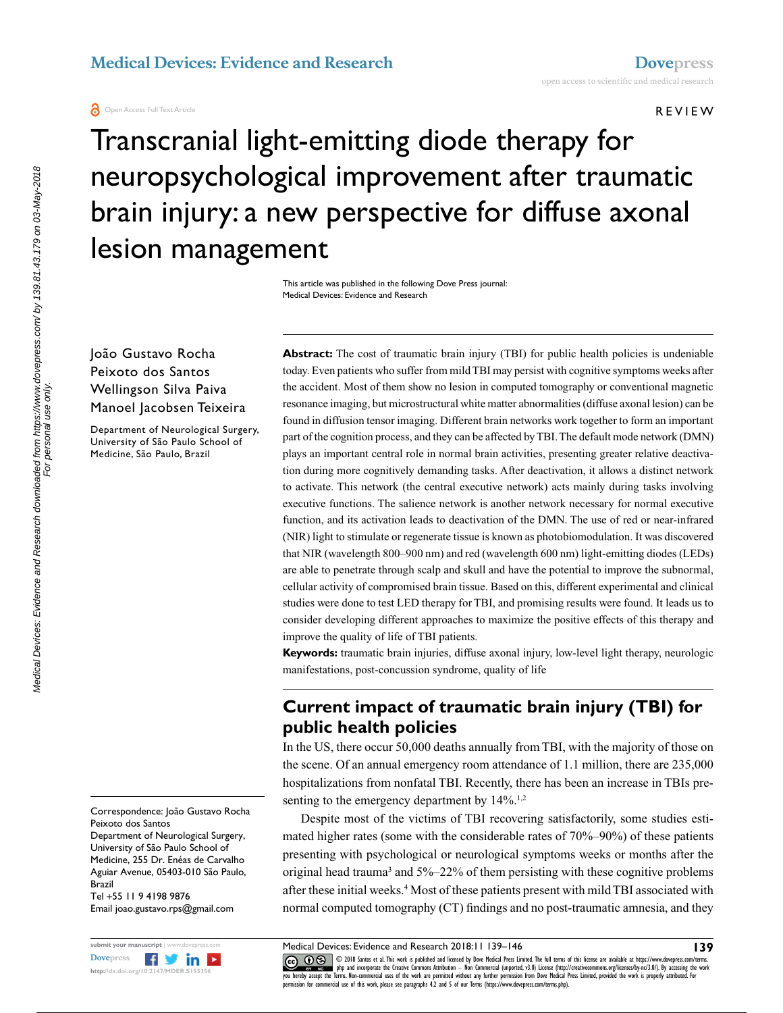**a** Open Access Full Text Article

REVIEW

# Transcranial light-emitting diode therapy for neuropsychological improvement after traumatic brain injury: a new perspective for diffuse axonal lesion management

This article was published in the following Dove Press journal: Medical Devices: Evidence and Research

#### João Gustavo Rocha Peixoto dos Santos Wellingson Silva Paiva Manoel Jacobsen Teixeira

Department of Neurological Surgery, University of São Paulo School of Medicine, São Paulo, Brazil

Correspondence: João Gustavo Rocha Peixoto dos Santos

Department of Neurological Surgery, University of São Paulo School of Medicine, 255 Dr. Enéas de Carvalho Aguiar Avenue, 05403-010 São Paulo,

Brazil Tel +55 11 9 4198 9876

Email joao.gustavo.rps@gmail.com



**Abstract:** The cost of traumatic brain injury (TBI) for public health policies is undeniable today. Even patients who suffer from mild TBI may persist with cognitive symptoms weeks after the accident. Most of them show no lesion in computed tomography or conventional magnetic resonance imaging, but microstructural white matter abnormalities (diffuse axonal lesion) can be found in diffusion tensor imaging. Different brain networks work together to form an important part of the cognition process, and they can be affected by TBI. The default mode network (DMN) plays an important central role in normal brain activities, presenting greater relative deactivation during more cognitively demanding tasks. After deactivation, it allows a distinct network to activate. This network (the central executive network) acts mainly during tasks involving executive functions. The salience network is another network necessary for normal executive function, and its activation leads to deactivation of the DMN. The use of red or near-infrared (NIR) light to stimulate or regenerate tissue is known as photobiomodulation. It was discovered that NIR (wavelength 800–900 nm) and red (wavelength 600 nm) light-emitting diodes (LEDs) are able to penetrate through scalp and skull and have the potential to improve the subnormal, cellular activity of compromised brain tissue. Based on this, different experimental and clinical studies were done to test LED therapy for TBI, and promising results were found. It leads us to consider developing different approaches to maximize the positive effects of this therapy and improve the quality of life of TBI patients.

**Keywords:** traumatic brain injuries, diffuse axonal injury, low-level light therapy, neurologic manifestations, post-concussion syndrome, quality of life

# **Current impact of traumatic brain injury (TBI) for public health policies**

In the US, there occur 50,000 deaths annually from TBI, with the majority of those on the scene. Of an annual emergency room attendance of 1.1 million, there are 235,000 hospitalizations from nonfatal TBI. Recently, there has been an increase in TBIs presenting to the emergency department by  $14\%$ .<sup>1,2</sup>

Despite most of the victims of TBI recovering satisfactorily, some studies estimated higher rates (some with the considerable rates of 70%–90%) of these patients presenting with psychological or neurological symptoms weeks or months after the original head trauma<sup>3</sup> and 5%–22% of them persisting with these cognitive problems after these initial weeks.<sup>4</sup> Most of these patients present with mild TBI associated with normal computed tomography (CT) findings and no post-traumatic amnesia, and they

CCO COS 2018 Santos et al. This work is published and licensed by Dove Medical Press Limited. The full terms of this license are available at https://www.dovepress.com/terms. www.com php and incorporate the Creative Commons Attribution — Non Commercial (unported, v3.0) License (http://creativecommons.org/licenses/by-nc/3.0/). By accessing the work<br>[you hereby accept the T](http://www.dovepress.com/permissions.php)erms. Non-commercial use  $m$ ission for commercial use of this work, please see paragraphs  $4.2$  and  $5$  of our Terms (https://www.dovepress.com/terms.php).

**139**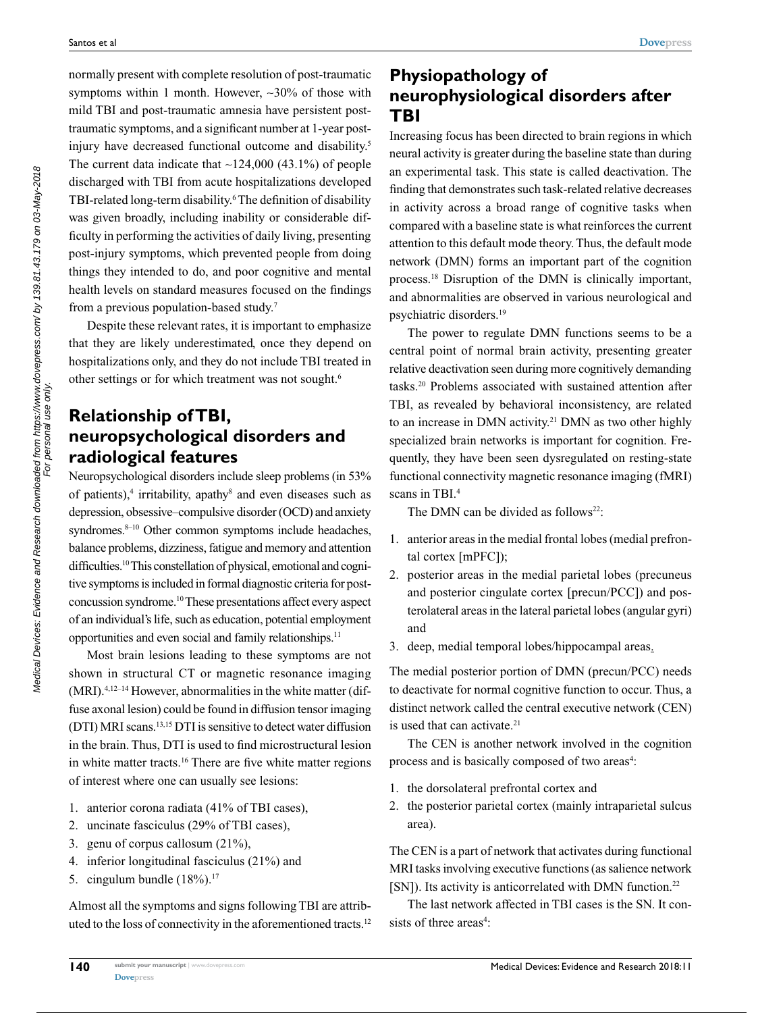normally present with complete resolution of post-traumatic symptoms within 1 month. However, ~30% of those with mild TBI and post-traumatic amnesia have persistent posttraumatic symptoms, and a significant number at 1-year postinjury have decreased functional outcome and disability.<sup>5</sup> The current data indicate that  $\sim$ 124,000 (43.1%) of people discharged with TBI from acute hospitalizations developed TBI-related long-term disability.<sup>6</sup> The definition of disability was given broadly, including inability or considerable difficulty in performing the activities of daily living, presenting post-injury symptoms, which prevented people from doing things they intended to do, and poor cognitive and mental health levels on standard measures focused on the findings from a previous population-based study.7

Despite these relevant rates, it is important to emphasize that they are likely underestimated, once they depend on hospitalizations only, and they do not include TBI treated in other settings or for which treatment was not sought.<sup>6</sup>

# **Relationship of TBI, neuropsychological disorders and radiological features**

Neuropsychological disorders include sleep problems (in 53% of patients),<sup>4</sup> irritability, apathy<sup>8</sup> and even diseases such as depression, obsessive–compulsive disorder (OCD) and anxiety syndromes.<sup>8-10</sup> Other common symptoms include headaches, balance problems, dizziness, fatigue and memory and attention difficulties.<sup>10</sup> This constellation of physical, emotional and cognitive symptoms is included in formal diagnostic criteria for postconcussion syndrome.10 These presentations affect every aspect of an individual's life, such as education, potential employment opportunities and even social and family relationships.11

Most brain lesions leading to these symptoms are not shown in structural CT or magnetic resonance imaging (MRI).4,12–14 However, abnormalities in the white matter (diffuse axonal lesion) could be found in diffusion tensor imaging (DTI) MRI scans.13,15 DTI is sensitive to detect water diffusion in the brain. Thus, DTI is used to find microstructural lesion in white matter tracts.<sup>16</sup> There are five white matter regions of interest where one can usually see lesions:

- 1. anterior corona radiata (41% of TBI cases),
- 2. uncinate fasciculus (29% of TBI cases),
- 3. genu of corpus callosum (21%),
- 4. inferior longitudinal fasciculus (21%) and
- 5. cingulum bundle (18%).17

Almost all the symptoms and signs following TBI are attributed to the loss of connectivity in the aforementioned tracts.<sup>12</sup>

# **Physiopathology of neurophysiological disorders after TBI**

Increasing focus has been directed to brain regions in which neural activity is greater during the baseline state than during an experimental task. This state is called deactivation. The finding that demonstrates such task-related relative decreases in activity across a broad range of cognitive tasks when compared with a baseline state is what reinforces the current attention to this default mode theory. Thus, the default mode network (DMN) forms an important part of the cognition process.18 Disruption of the DMN is clinically important, and abnormalities are observed in various neurological and psychiatric disorders.19

The power to regulate DMN functions seems to be a central point of normal brain activity, presenting greater relative deactivation seen during more cognitively demanding tasks.20 Problems associated with sustained attention after TBI, as revealed by behavioral inconsistency, are related to an increase in DMN activity.<sup>21</sup> DMN as two other highly specialized brain networks is important for cognition. Frequently, they have been seen dysregulated on resting-state functional connectivity magnetic resonance imaging (fMRI) scans in TBI.4

The DMN can be divided as follows<sup>22</sup>:

- 1. anterior areas in the medial frontal lobes (medial prefrontal cortex [mPFC]);
- 2. posterior areas in the medial parietal lobes (precuneus and posterior cingulate cortex [precun/PCC]) and posterolateral areas in the lateral parietal lobes (angular gyri) and
- 3. deep, medial temporal lobes/hippocampal areas.

The medial posterior portion of DMN (precun/PCC) needs to deactivate for normal cognitive function to occur. Thus, a distinct network called the central executive network (CEN) is used that can activate.<sup>21</sup>

The CEN is another network involved in the cognition process and is basically composed of two areas<sup>4</sup>:

- 1. the dorsolateral prefrontal cortex and
- 2. the posterior parietal cortex (mainly intraparietal sulcus area).

The CEN is a part of network that activates during functional MRI tasks involving executive functions (as salience network [SN]). Its activity is anticorrelated with DMN function.<sup>22</sup>

The last network affected in TBI cases is the SN. It consists of three areas<sup>4</sup>: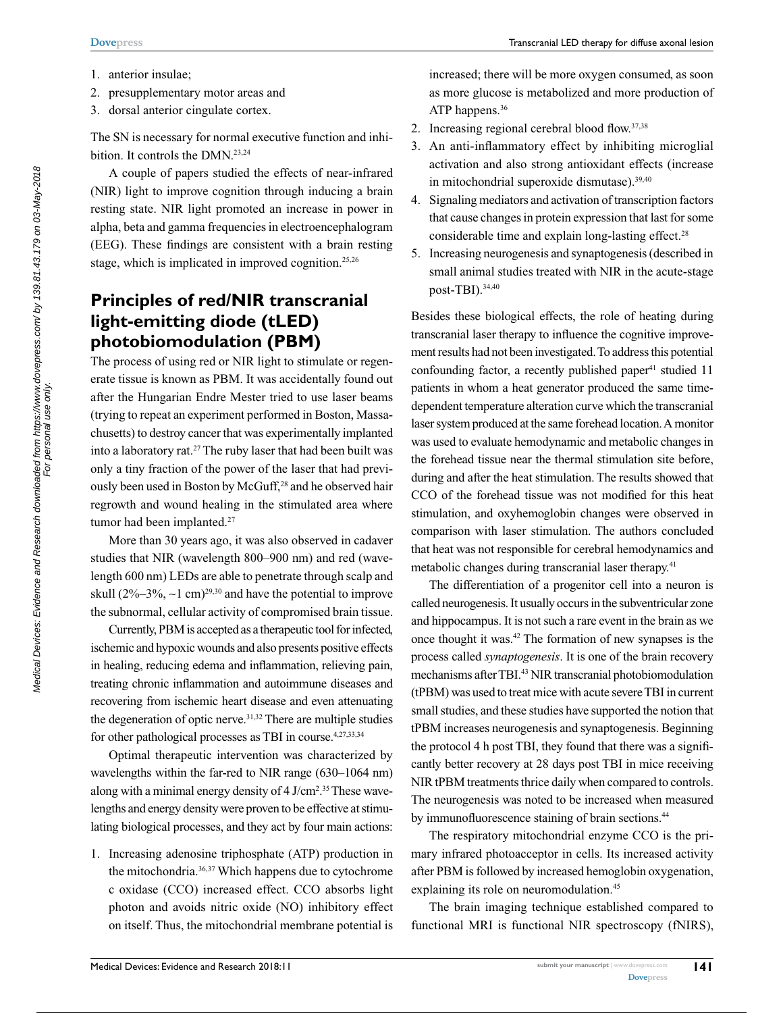- 1. anterior insulae;
- 2. presupplementary motor areas and
- 3. dorsal anterior cingulate cortex.

The SN is necessary for normal executive function and inhibition. It controls the DMN.<sup>23,24</sup>

A couple of papers studied the effects of near-infrared (NIR) light to improve cognition through inducing a brain resting state. NIR light promoted an increase in power in alpha, beta and gamma frequencies in electroencephalogram (EEG). These findings are consistent with a brain resting stage, which is implicated in improved cognition.<sup>25,26</sup>

# **Principles of red/NIR transcranial light-emitting diode (tLED) photobiomodulation (PBM)**

The process of using red or NIR light to stimulate or regenerate tissue is known as PBM. It was accidentally found out after the Hungarian Endre Mester tried to use laser beams (trying to repeat an experiment performed in Boston, Massachusetts) to destroy cancer that was experimentally implanted into a laboratory rat.27 The ruby laser that had been built was only a tiny fraction of the power of the laser that had previously been used in Boston by McGuff,<sup>28</sup> and he observed hair regrowth and wound healing in the stimulated area where tumor had been implanted.<sup>27</sup>

More than 30 years ago, it was also observed in cadaver studies that NIR (wavelength 800–900 nm) and red (wavelength 600 nm) LEDs are able to penetrate through scalp and skull (2%–3%, ~1 cm)<sup>29,30</sup> and have the potential to improve the subnormal, cellular activity of compromised brain tissue.

Currently, PBM is accepted as a therapeutic tool for infected, ischemic and hypoxic wounds and also presents positive effects in healing, reducing edema and inflammation, relieving pain, treating chronic inflammation and autoimmune diseases and recovering from ischemic heart disease and even attenuating the degeneration of optic nerve.<sup>31,32</sup> There are multiple studies for other pathological processes as TBI in course.<sup>4,27,33,34</sup>

Optimal therapeutic intervention was characterized by wavelengths within the far-red to NIR range (630–1064 nm) along with a minimal energy density of 4 J/cm<sup>2</sup>.<sup>35</sup> These wavelengths and energy density were proven to be effective at stimulating biological processes, and they act by four main actions:

1. Increasing adenosine triphosphate (ATP) production in the mitochondria.36,37 Which happens due to cytochrome c oxidase (CCO) increased effect. CCO absorbs light photon and avoids nitric oxide (NO) inhibitory effect on itself. Thus, the mitochondrial membrane potential is

increased; there will be more oxygen consumed, as soon as more glucose is metabolized and more production of ATP happens.<sup>36</sup>

- 2. Increasing regional cerebral blood flow.37,38
- 3. An anti-inflammatory effect by inhibiting microglial activation and also strong antioxidant effects (increase in mitochondrial superoxide dismutase).39,40
- 4. Signaling mediators and activation of transcription factors that cause changes in protein expression that last for some considerable time and explain long-lasting effect.<sup>28</sup>
- 5. Increasing neurogenesis and synaptogenesis (described in small animal studies treated with NIR in the acute-stage post-TBI).34,40

Besides these biological effects, the role of heating during transcranial laser therapy to influence the cognitive improvement results had not been investigated. To address this potential confounding factor, a recently published paper<sup>41</sup> studied 11 patients in whom a heat generator produced the same timedependent temperature alteration curve which the transcranial laser system produced at the same forehead location. A monitor was used to evaluate hemodynamic and metabolic changes in the forehead tissue near the thermal stimulation site before, during and after the heat stimulation. The results showed that CCO of the forehead tissue was not modified for this heat stimulation, and oxyhemoglobin changes were observed in comparison with laser stimulation. The authors concluded that heat was not responsible for cerebral hemodynamics and metabolic changes during transcranial laser therapy.<sup>41</sup>

The differentiation of a progenitor cell into a neuron is called neurogenesis. It usually occurs in the subventricular zone and hippocampus. It is not such a rare event in the brain as we once thought it was.42 The formation of new synapses is the process called *synaptogenesis*. It is one of the brain recovery mechanisms after TBI.43 NIR transcranial photobiomodulation (tPBM) was used to treat mice with acute severe TBI in current small studies, and these studies have supported the notion that tPBM increases neurogenesis and synaptogenesis. Beginning the protocol 4 h post TBI, they found that there was a significantly better recovery at 28 days post TBI in mice receiving NIR tPBM treatments thrice daily when compared to controls. The neurogenesis was noted to be increased when measured by immunofluorescence staining of brain sections.<sup>44</sup>

The respiratory mitochondrial enzyme CCO is the primary infrared photoacceptor in cells. Its increased activity after PBM is followed by increased hemoglobin oxygenation, explaining its role on neuromodulation.<sup>45</sup>

The brain imaging technique established compared to functional MRI is functional NIR spectroscopy (fNIRS),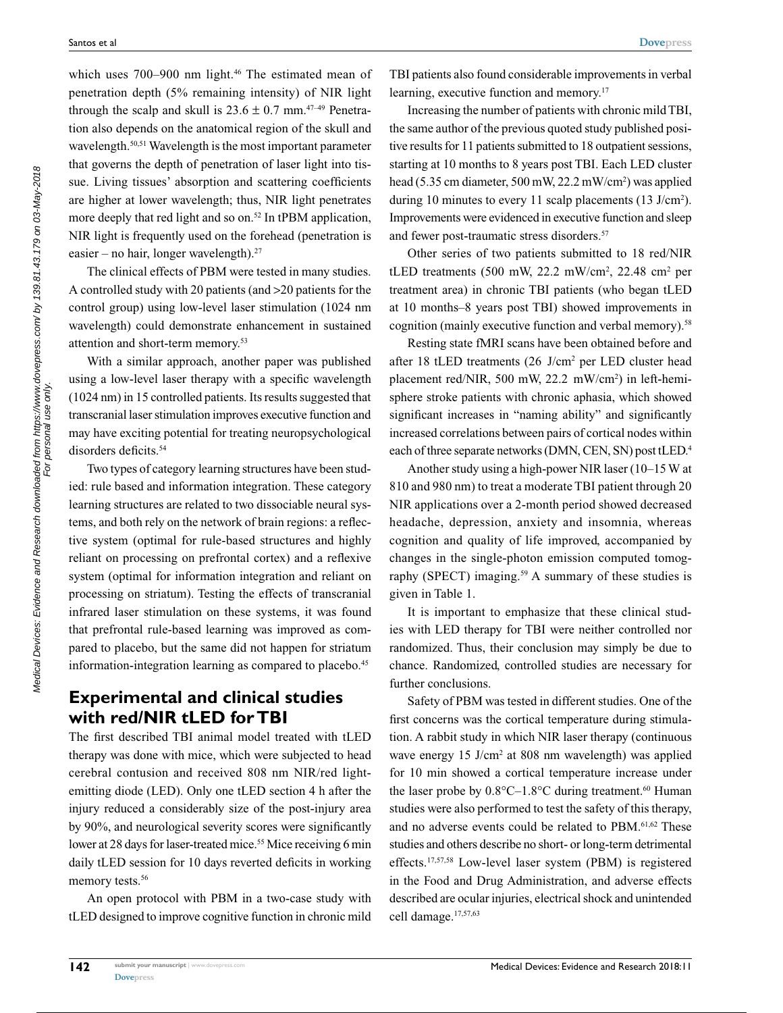which uses  $700-900$  nm light.<sup>46</sup> The estimated mean of penetration depth (5% remaining intensity) of NIR light through the scalp and skull is  $23.6 \pm 0.7$  mm.<sup>47-49</sup> Penetration also depends on the anatomical region of the skull and wavelength.<sup>50,51</sup> Wavelength is the most important parameter that governs the depth of penetration of laser light into tissue. Living tissues' absorption and scattering coefficients are higher at lower wavelength; thus, NIR light penetrates more deeply that red light and so on.<sup>52</sup> In tPBM application, NIR light is frequently used on the forehead (penetration is easier – no hair, longer wavelength). $27$ 

The clinical effects of PBM were tested in many studies. A controlled study with 20 patients (and >20 patients for the control group) using low-level laser stimulation (1024 nm wavelength) could demonstrate enhancement in sustained attention and short-term memory.<sup>53</sup>

With a similar approach, another paper was published using a low-level laser therapy with a specific wavelength (1024 nm) in 15 controlled patients. Its results suggested that transcranial laser stimulation improves executive function and may have exciting potential for treating neuropsychological disorders deficits.<sup>54</sup>

Two types of category learning structures have been studied: rule based and information integration. These category learning structures are related to two dissociable neural systems, and both rely on the network of brain regions: a reflective system (optimal for rule-based structures and highly reliant on processing on prefrontal cortex) and a reflexive system (optimal for information integration and reliant on processing on striatum). Testing the effects of transcranial infrared laser stimulation on these systems, it was found that prefrontal rule-based learning was improved as compared to placebo, but the same did not happen for striatum information-integration learning as compared to placebo.<sup>45</sup>

### **Experimental and clinical studies with red/NIR tLED for TBI**

The first described TBI animal model treated with tLED therapy was done with mice, which were subjected to head cerebral contusion and received 808 nm NIR/red lightemitting diode (LED). Only one tLED section 4 h after the injury reduced a considerably size of the post-injury area by 90%, and neurological severity scores were significantly lower at 28 days for laser-treated mice.<sup>55</sup> Mice receiving 6 min daily tLED session for 10 days reverted deficits in working memory tests.<sup>56</sup>

An open protocol with PBM in a two-case study with tLED designed to improve cognitive function in chronic mild

TBI patients also found considerable improvements in verbal learning, executive function and memory.<sup>17</sup>

Increasing the number of patients with chronic mild TBI, the same author of the previous quoted study published positive results for 11 patients submitted to 18 outpatient sessions, starting at 10 months to 8 years post TBI. Each LED cluster head (5.35 cm diameter, 500 mW, 22.2 mW/cm2 ) was applied during 10 minutes to every 11 scalp placements (13 J/cm<sup>2</sup>). Improvements were evidenced in executive function and sleep and fewer post-traumatic stress disorders.<sup>57</sup>

Other series of two patients submitted to 18 red/NIR tLED treatments  $(500 \text{ mW}, 22.2 \text{ mW/cm}^2, 22.48 \text{ cm}^2 \text{ per})$ treatment area) in chronic TBI patients (who began tLED at 10 months–8 years post TBI) showed improvements in cognition (mainly executive function and verbal memory).<sup>58</sup>

Resting state fMRI scans have been obtained before and after 18 tLED treatments (26 J/cm<sup>2</sup> per LED cluster head placement red/NIR, 500 mW, 22.2 mW/cm2 ) in left-hemisphere stroke patients with chronic aphasia, which showed significant increases in "naming ability" and significantly increased correlations between pairs of cortical nodes within each of three separate networks (DMN, CEN, SN) post tLED.<sup>4</sup>

Another study using a high-power NIR laser (10–15W at 810 and 980 nm) to treat a moderate TBI patient through 20 NIR applications over a 2-month period showed decreased headache, depression, anxiety and insomnia, whereas cognition and quality of life improved, accompanied by changes in the single-photon emission computed tomography (SPECT) imaging.<sup>59</sup> A summary of these studies is given in Table 1.

It is important to emphasize that these clinical studies with LED therapy for TBI were neither controlled nor randomized. Thus, their conclusion may simply be due to chance. Randomized, controlled studies are necessary for further conclusions.

Safety of PBM was tested in different studies. One of the first concerns was the cortical temperature during stimulation. A rabbit study in which NIR laser therapy (continuous wave energy 15 J/cm<sup>2</sup> at 808 nm wavelength) was applied for 10 min showed a cortical temperature increase under the laser probe by  $0.8^{\circ}$ C $-1.8^{\circ}$ C during treatment.<sup>60</sup> Human studies were also performed to test the safety of this therapy, and no adverse events could be related to PBM.<sup>61,62</sup> These studies and others describe no short- or long-term detrimental effects.17,57,58 Low-level laser system (PBM) is registered in the Food and Drug Administration, and adverse effects described are ocular injuries, electrical shock and unintended cell damage.<sup>17,57,63</sup>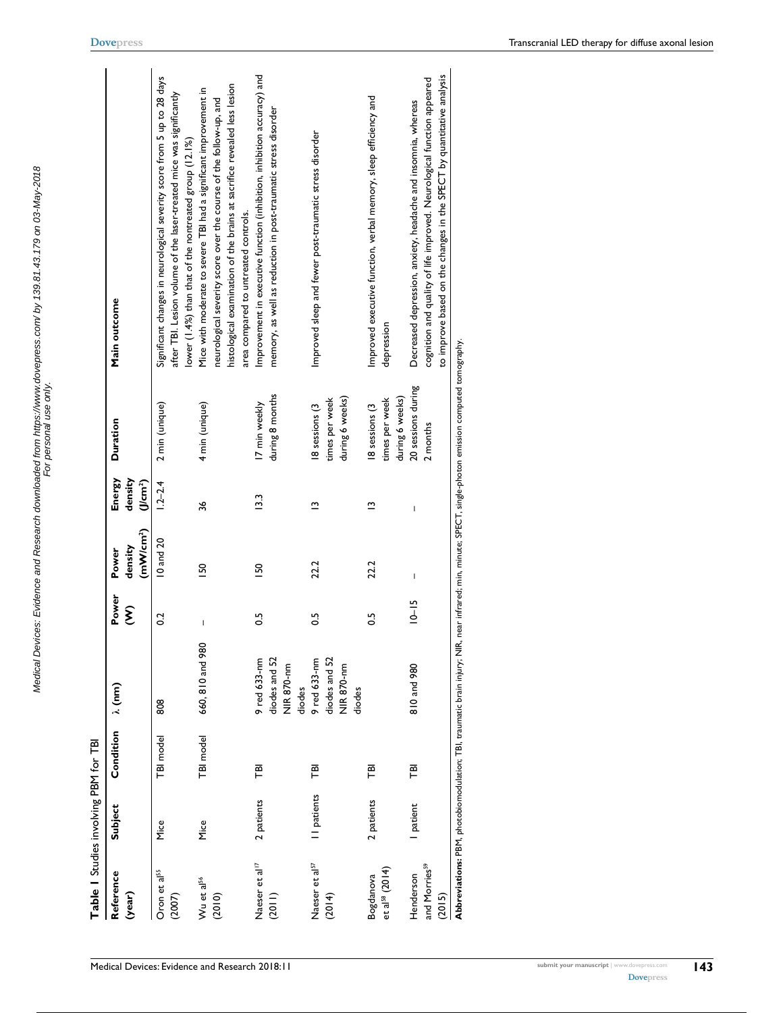| Table I Studies involving PBM for TBI            |             |           |                                                       |                                       |                                           |                                       |                                                                                                                                                          |                                                                                                                                                                                                                                                            |
|--------------------------------------------------|-------------|-----------|-------------------------------------------------------|---------------------------------------|-------------------------------------------|---------------------------------------|----------------------------------------------------------------------------------------------------------------------------------------------------------|------------------------------------------------------------------------------------------------------------------------------------------------------------------------------------------------------------------------------------------------------------|
| Reference<br>(year)                              | Subject     | Condition | $\lambda$ (nm)                                        | Power<br>$\widehat{\boldsymbol{\xi}}$ | (mW/cm <sup>2</sup> )<br>density<br>Power | Energy<br>density<br>Ucm <sup>2</sup> | Duration                                                                                                                                                 | Main outcome                                                                                                                                                                                                                                               |
| Oron et al <sup>55</sup><br>(2007)               | Mice        | TBI model | 808                                                   | 0.2                                   | 10 and 20                                 | $1.2 - 2.4$                           | 2 min (unique)                                                                                                                                           | Significant changes in neurological severity score from 5 up to 28 days<br>after TBI. Lesion volume of the laser-treated mice was significantly<br>lower (1.4%) than that of the nontreated group (12.1%)                                                  |
| Wu et al <sup>56</sup><br>(2010)                 | Mice        | TBI model | 660, 810 and 980                                      | $\mathbf I$                           | 50                                        | 36                                    | 4 min (unique)                                                                                                                                           | histological examination of the brains at sacrifice revealed less lesion<br>Mice with moderate to severe TBI had a significant improvement in<br>neurological severity score over the course of the follow-up, and<br>area compared to untreated controls. |
| Naeser et al <sup>17</sup><br>(2011)             | 2 patients  | 戸         | 9 red 633-nm<br>diodes and 52<br>NIR 870-nm<br>diodes | S.O                                   | <b>SO</b>                                 | $\frac{33}{2}$                        | during 8 months<br>17 min weekly                                                                                                                         | Improvement in executive function (inhibition, inhibition accuracy) and<br>memory, as well as reduction in post-traumatic stress disorder                                                                                                                  |
| Naeser et al <sup>57</sup><br>(2014)             | II patients | 펻         | diodes and 52<br>9 red 633-nm<br>NIR 870-nm<br>diodes | $\frac{5}{2}$                         | 22.2                                      | ≏                                     | during 6 weeks)<br>times per week<br>18 sessions (3                                                                                                      | Improved sleep and fewer post-traumatic stress disorder                                                                                                                                                                                                    |
| et al <sup>s8</sup> (2014)<br>Bogdanova          | 2 patients  | ΓØΙ       |                                                       | 50                                    | 22.2                                      | ≅                                     | during 6 weeks)<br>times per week<br>18 sessions (3                                                                                                      | Improved executive function, verbal memory, sleep efficiency and<br>depression                                                                                                                                                                             |
| and Morries <sup>59</sup><br>Henderson<br>(2015) | I patient   | FØI       | 810 and 980                                           | $10 - 15$                             | $\mathbf{I}$                              | $\mathbf{I}$                          | 20 sessions during<br>2 months                                                                                                                           | to improve based on the changes in the SPECT by quantitative analysis<br>cognition and quality of life improved. Neurological function appeared<br>Decreased depression, anxiety, headache and insomnia, whereas                                           |
|                                                  |             |           |                                                       |                                       |                                           |                                       | Abbreviations: PBM, photobiomodulation; TBI, traumatic brain injury; NIR, near infrared; min, minute; SPECT, single-photon emission computed tomography. |                                                                                                                                                                                                                                                            |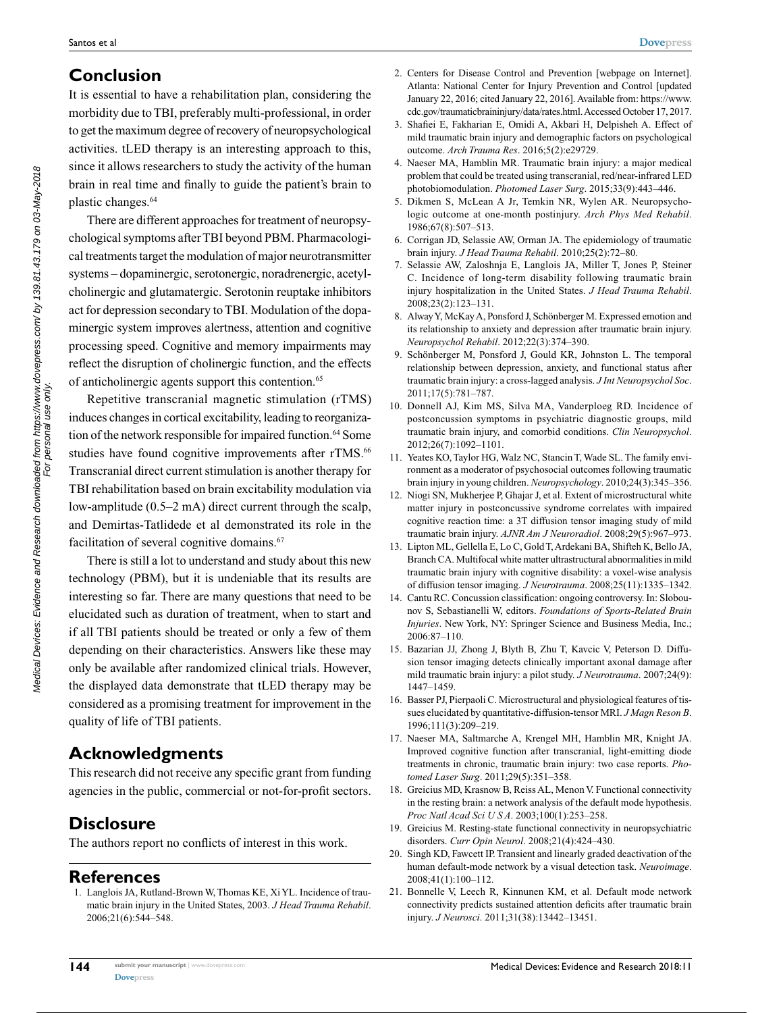# **Conclusion**

It is essential to have a rehabilitation plan, considering the morbidity due to TBI, preferably multi-professional, in order to get the maximum degree of recovery of neuropsychological activities. tLED therapy is an interesting approach to this, since it allows researchers to study the activity of the human brain in real time and finally to guide the patient's brain to plastic changes.64

There are different approaches for treatment of neuropsychological symptoms after TBI beyond PBM. Pharmacological treatments target the modulation of major neurotransmitter systems – dopaminergic, serotonergic, noradrenergic, acetylcholinergic and glutamatergic. Serotonin reuptake inhibitors act for depression secondary to TBI. Modulation of the dopaminergic system improves alertness, attention and cognitive processing speed. Cognitive and memory impairments may reflect the disruption of cholinergic function, and the effects of anticholinergic agents support this contention.65

Repetitive transcranial magnetic stimulation (rTMS) induces changes in cortical excitability, leading to reorganization of the network responsible for impaired function.<sup>64</sup> Some studies have found cognitive improvements after rTMS.<sup>66</sup> Transcranial direct current stimulation is another therapy for TBI rehabilitation based on brain excitability modulation via low-amplitude (0.5–2 mA) direct current through the scalp, and Demirtas-Tatlidede et al demonstrated its role in the facilitation of several cognitive domains.<sup>67</sup>

There is still a lot to understand and study about this new technology (PBM), but it is undeniable that its results are interesting so far. There are many questions that need to be elucidated such as duration of treatment, when to start and if all TBI patients should be treated or only a few of them depending on their characteristics. Answers like these may only be available after randomized clinical trials. However, the displayed data demonstrate that tLED therapy may be considered as a promising treatment for improvement in the quality of life of TBI patients.

### **Acknowledgments**

This research did not receive any specific grant from funding agencies in the public, commercial or not-for-profit sectors.

# **Disclosure**

The authors report no conflicts of interest in this work.

### **References**

1. Langlois JA, Rutland-Brown W, Thomas KE, Xi YL. Incidence of traumatic brain injury in the United States, 2003. *J Head Trauma Rehabil*. 2006;21(6):544–548.

- 2. Centers for Disease Control and Prevention [webpage on Internet]. Atlanta: National Center for Injury Prevention and Control [updated January 22, 2016; cited January 22, 2016]. Available from: https://www. cdc.gov/traumaticbraininjury/data/rates.html. Accessed October 17, 2017.
- 3. Shafiei E, Fakharian E, Omidi A, Akbari H, Delpisheh A. Effect of mild traumatic brain injury and demographic factors on psychological outcome. *Arch Trauma Res*. 2016;5(2):e29729.
- 4. Naeser MA, Hamblin MR. Traumatic brain injury: a major medical problem that could be treated using transcranial, red/near-infrared LED photobiomodulation. *Photomed Laser Surg*. 2015;33(9):443–446.
- 5. Dikmen S, McLean A Jr, Temkin NR, Wylen AR. Neuropsychologic outcome at one-month postinjury. *Arch Phys Med Rehabil*. 1986;67(8):507–513.
- 6. Corrigan JD, Selassie AW, Orman JA. The epidemiology of traumatic brain injury. *J Head Trauma Rehabil*. 2010;25(2):72–80.
- 7. Selassie AW, Zaloshnja E, Langlois JA, Miller T, Jones P, Steiner C. Incidence of long-term disability following traumatic brain injury hospitalization in the United States. *J Head Trauma Rehabil*. 2008;23(2):123–131.
- 8. Alway Y, McKay A, Ponsford J, Schönberger M. Expressed emotion and its relationship to anxiety and depression after traumatic brain injury. *Neuropsychol Rehabil*. 2012;22(3):374–390.
- 9. Schönberger M, Ponsford J, Gould KR, Johnston L. The temporal relationship between depression, anxiety, and functional status after traumatic brain injury: a cross-lagged analysis. *J Int Neuropsychol Soc*. 2011;17(5):781–787.
- 10. Donnell AJ, Kim MS, Silva MA, Vanderploeg RD. Incidence of postconcussion symptoms in psychiatric diagnostic groups, mild traumatic brain injury, and comorbid conditions. *Clin Neuropsychol*. 2012;26(7):1092–1101.
- 11. Yeates KO, Taylor HG, Walz NC, Stancin T, Wade SL. The family environment as a moderator of psychosocial outcomes following traumatic brain injury in young children. *Neuropsychology*. 2010;24(3):345–356.
- 12. Niogi SN, Mukherjee P, Ghajar J, et al. Extent of microstructural white matter injury in postconcussive syndrome correlates with impaired cognitive reaction time: a 3T diffusion tensor imaging study of mild traumatic brain injury. *AJNR Am J Neuroradiol*. 2008;29(5):967–973.
- 13. Lipton ML, Gellella E, Lo C, Gold T, Ardekani BA, Shifteh K, Bello JA, Branch CA. Multifocal white matter ultrastructural abnormalities in mild traumatic brain injury with cognitive disability: a voxel-wise analysis of diffusion tensor imaging. *J Neurotrauma*. 2008;25(11):1335–1342.
- 14. Cantu RC. Concussion classification: ongoing controversy. In: Slobounov S, Sebastianelli W, editors. *Foundations of Sports-Related Brain Injuries*. New York, NY: Springer Science and Business Media, Inc.; 2006:87–110.
- 15. Bazarian JJ, Zhong J, Blyth B, Zhu T, Kavcic V, Peterson D. Diffusion tensor imaging detects clinically important axonal damage after mild traumatic brain injury: a pilot study. *J Neurotrauma*. 2007;24(9): 1447–1459.
- 16. Basser PJ, Pierpaoli C. Microstructural and physiological features of tissues elucidated by quantitative-diffusion-tensor MRI. *J Magn Reson B*. 1996;111(3):209–219.
- 17. Naeser MA, Saltmarche A, Krengel MH, Hamblin MR, Knight JA. Improved cognitive function after transcranial, light-emitting diode treatments in chronic, traumatic brain injury: two case reports. *Photomed Laser Surg*. 2011;29(5):351–358.
- 18. Greicius MD, Krasnow B, Reiss AL, Menon V. Functional connectivity in the resting brain: a network analysis of the default mode hypothesis. *Proc Natl Acad Sci U S A*. 2003;100(1):253–258.
- 19. Greicius M. Resting-state functional connectivity in neuropsychiatric disorders. *Curr Opin Neurol*. 2008;21(4):424–430.
- 20. Singh KD, Fawcett IP. Transient and linearly graded deactivation of the human default-mode network by a visual detection task. *Neuroimage*. 2008;41(1):100–112.
- 21. Bonnelle V, Leech R, Kinnunen KM, et al. Default mode network connectivity predicts sustained attention deficits after traumatic brain injury. *J Neurosci*. 2011;31(38):13442–13451.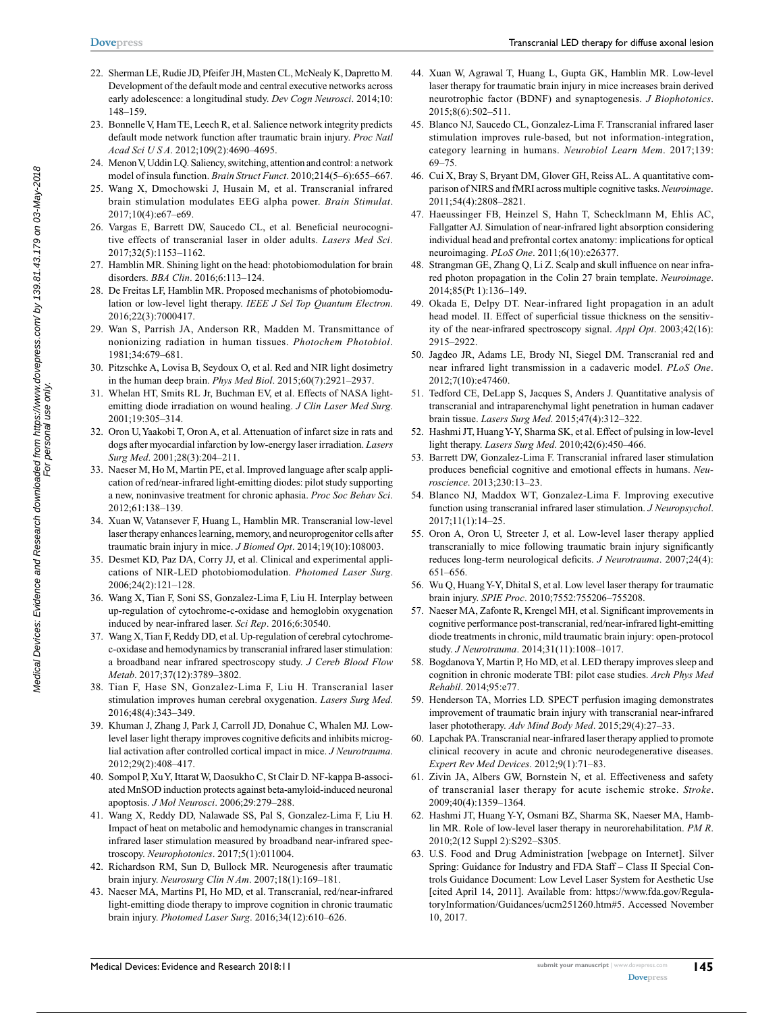- **[Dovepress](www.dovepress.com)**
- 22. Sherman LE, Rudie JD, Pfeifer JH, Masten CL, McNealy K, Dapretto M. Development of the default mode and central executive networks across early adolescence: a longitudinal study. *Dev Cogn Neurosci*. 2014;10: 148–159.
- 23. Bonnelle V, Ham TE, Leech R, et al. Salience network integrity predicts default mode network function after traumatic brain injury. *Proc Natl Acad Sci U S A*. 2012;109(2):4690–4695.
- 24. Menon V, Uddin LQ. Saliency, switching, attention and control: a network model of insula function. *Brain Struct Funct*. 2010;214(5–6):655–667.
- 25. Wang X, Dmochowski J, Husain M, et al. Transcranial infrared brain stimulation modulates EEG alpha power. *Brain Stimulat*. 2017;10(4):e67–e69.
- 26. Vargas E, Barrett DW, Saucedo CL, et al. Beneficial neurocognitive effects of transcranial laser in older adults. *Lasers Med Sci*. 2017;32(5):1153–1162.
- 27. Hamblin MR. Shining light on the head: photobiomodulation for brain disorders. *BBA Clin*. 2016;6:113–124.
- 28. De Freitas LF, Hamblin MR. Proposed mechanisms of photobiomodulation or low-level light therapy. *IEEE J Sel Top Quantum Electron*. 2016;22(3):7000417.
- 29. Wan S, Parrish JA, Anderson RR, Madden M. Transmittance of nonionizing radiation in human tissues. *Photochem Photobiol*. 1981;34:679–681.
- 30. Pitzschke A, Lovisa B, Seydoux O, et al. Red and NIR light dosimetry in the human deep brain. *Phys Med Biol*. 2015;60(7):2921–2937.
- 31. Whelan HT, Smits RL Jr, Buchman EV, et al. Effects of NASA lightemitting diode irradiation on wound healing. *J Clin Laser Med Surg*. 2001;19:305–314.
- 32. Oron U, Yaakobi T, Oron A, et al. Attenuation of infarct size in rats and dogs after myocardial infarction by low-energy laser irradiation. *Lasers Surg Med*. 2001;28(3):204–211.
- 33. Naeser M, Ho M, Martin PE, et al. Improved language after scalp application of red/near-infrared light-emitting diodes: pilot study supporting a new, noninvasive treatment for chronic aphasia. *Proc Soc Behav Sci*. 2012;61:138–139.
- 34. Xuan W, Vatansever F, Huang L, Hamblin MR. Transcranial low-level laser therapy enhances learning, memory, and neuroprogenitor cells after traumatic brain injury in mice. *J Biomed Opt*. 2014;19(10):108003.
- 35. Desmet KD, Paz DA, Corry JJ, et al. Clinical and experimental applications of NIR-LED photobiomodulation. *Photomed Laser Surg*. 2006;24(2):121–128.
- 36. Wang X, Tian F, Soni SS, Gonzalez-Lima F, Liu H. Interplay between up-regulation of cytochrome-c-oxidase and hemoglobin oxygenation induced by near-infrared laser. *Sci Rep*. 2016;6:30540.
- 37. Wang X, Tian F, Reddy DD, et al. Up-regulation of cerebral cytochromec-oxidase and hemodynamics by transcranial infrared laser stimulation: a broadband near infrared spectroscopy study. *J Cereb Blood Flow Metab*. 2017;37(12):3789–3802.
- 38. Tian F, Hase SN, Gonzalez-Lima F, Liu H. Transcranial laser stimulation improves human cerebral oxygenation. *Lasers Surg Med*. 2016;48(4):343–349.
- 39. Khuman J, Zhang J, Park J, Carroll JD, Donahue C, Whalen MJ. Lowlevel laser light therapy improves cognitive deficits and inhibits microglial activation after controlled cortical impact in mice. *J Neurotrauma*. 2012;29(2):408–417.
- 40. Sompol P, Xu Y, Ittarat W, Daosukho C, St Clair D. NF-kappa B-associated MnSOD induction protects against beta-amyloid-induced neuronal apoptosis. *J Mol Neurosci*. 2006;29:279–288.
- 41. Wang X, Reddy DD, Nalawade SS, Pal S, Gonzalez-Lima F, Liu H. Impact of heat on metabolic and hemodynamic changes in transcranial infrared laser stimulation measured by broadband near-infrared spectroscopy. *Neurophotonics*. 2017;5(1):011004.
- 42. Richardson RM, Sun D, Bullock MR. Neurogenesis after traumatic brain injury. *Neurosurg Clin N Am*. 2007;18(1):169–181.
- 43. Naeser MA, Martins PI, Ho MD, et al. Transcranial, red/near-infrared light-emitting diode therapy to improve cognition in chronic traumatic brain injury. *Photomed Laser Surg*. 2016;34(12):610–626.
- 44. Xuan W, Agrawal T, Huang L, Gupta GK, Hamblin MR. Low-level laser therapy for traumatic brain injury in mice increases brain derived neurotrophic factor (BDNF) and synaptogenesis. *J Biophotonics*. 2015;8(6):502–511.
- 45. Blanco NJ, Saucedo CL, Gonzalez-Lima F. Transcranial infrared laser stimulation improves rule-based, but not information-integration, category learning in humans. *Neurobiol Learn Mem*. 2017;139: 69–75.
- 46. Cui X, Bray S, Bryant DM, Glover GH, Reiss AL. A quantitative comparison of NIRS and fMRI across multiple cognitive tasks. *Neuroimage*. 2011;54(4):2808–2821.
- 47. Haeussinger FB, Heinzel S, Hahn T, Schecklmann M, Ehlis AC, Fallgatter AJ. Simulation of near-infrared light absorption considering individual head and prefrontal cortex anatomy: implications for optical neuroimaging. *PLoS One*. 2011;6(10):e26377.
- 48. Strangman GE, Zhang Q, Li Z. Scalp and skull influence on near infrared photon propagation in the Colin 27 brain template. *Neuroimage*. 2014;85(Pt 1):136–149.
- 49. Okada E, Delpy DT. Near-infrared light propagation in an adult head model. II. Effect of superficial tissue thickness on the sensitivity of the near-infrared spectroscopy signal. *Appl Opt*. 2003;42(16): 2915–2922.
- 50. Jagdeo JR, Adams LE, Brody NI, Siegel DM. Transcranial red and near infrared light transmission in a cadaveric model. *PLoS One*. 2012;7(10):e47460.
- 51. Tedford CE, DeLapp S, Jacques S, Anders J. Quantitative analysis of transcranial and intraparenchymal light penetration in human cadaver brain tissue. *Lasers Surg Med*. 2015;47(4):312–322.
- 52. Hashmi JT, Huang Y-Y, Sharma SK, et al. Effect of pulsing in low-level light therapy. *Lasers Surg Med*. 2010;42(6):450–466.
- 53. Barrett DW, Gonzalez-Lima F. Transcranial infrared laser stimulation produces beneficial cognitive and emotional effects in humans. *Neuroscience*. 2013;230:13–23.
- 54. Blanco NJ, Maddox WT, Gonzalez-Lima F. Improving executive function using transcranial infrared laser stimulation. *J Neuropsychol*. 2017;11(1):14–25.
- 55. Oron A, Oron U, Streeter J, et al. Low-level laser therapy applied transcranially to mice following traumatic brain injury significantly reduces long-term neurological deficits. *J Neurotrauma*. 2007;24(4): 651–656.
- 56. Wu Q, Huang Y-Y, Dhital S, et al. Low level laser therapy for traumatic brain injury. *SPIE Proc*. 2010;7552:755206–755208.
- 57. Naeser MA, Zafonte R, Krengel MH, et al. Significant improvements in cognitive performance post-transcranial, red/near-infrared light-emitting diode treatments in chronic, mild traumatic brain injury: open-protocol study. *J Neurotrauma*. 2014;31(11):1008–1017.
- 58. Bogdanova Y, Martin P, Ho MD, et al. LED therapy improves sleep and cognition in chronic moderate TBI: pilot case studies. *Arch Phys Med Rehabil*. 2014;95:e77.
- 59. Henderson TA, Morries LD. SPECT perfusion imaging demonstrates improvement of traumatic brain injury with transcranial near-infrared laser phototherapy. *Adv Mind Body Med*. 2015;29(4):27–33.
- 60. Lapchak PA. Transcranial near-infrared laser therapy applied to promote clinical recovery in acute and chronic neurodegenerative diseases. *Expert Rev Med Devices*. 2012;9(1):71–83.
- 61. Zivin JA, Albers GW, Bornstein N, et al. Effectiveness and safety of transcranial laser therapy for acute ischemic stroke. *Stroke*. 2009;40(4):1359–1364.
- 62. Hashmi JT, Huang Y-Y, Osmani BZ, Sharma SK, Naeser MA, Hamblin MR. Role of low-level laser therapy in neurorehabilitation. *PM R*. 2010;2(12 Suppl 2):S292–S305.
- 63. U.S. Food and Drug Administration [webpage on Internet]. Silver Spring: Guidance for Industry and FDA Staff – Class II Special Controls Guidance Document: Low Level Laser System for Aesthetic Use [cited April 14, 2011]. Available from: https://www.fda.gov/RegulatoryInformation/Guidances/ucm251260.htm#5. Accessed November 10, 2017.